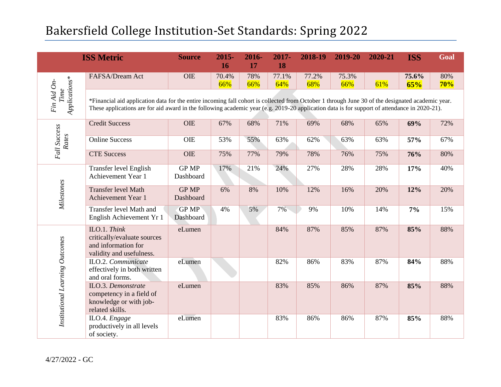| <b>ISS Metric</b>                    |                                                                                                                                                                                                                                                                                                  | <b>Source</b>             | $2015 -$<br>16 | 2016-<br>17 | 2017-<br><b>18</b> | 2018-19      | 2019-20      | 2020-21 | <b>ISS</b>   | Goal       |  |
|--------------------------------------|--------------------------------------------------------------------------------------------------------------------------------------------------------------------------------------------------------------------------------------------------------------------------------------------------|---------------------------|----------------|-------------|--------------------|--------------|--------------|---------|--------------|------------|--|
| Applications*<br>Fin Aid On-<br>Time | FAFSA/Dream Act                                                                                                                                                                                                                                                                                  | <b>OIE</b>                | 70.4%<br>66%   | 78%<br>66%  | 77.1%<br>64%       | 77.2%<br>68% | 75.3%<br>66% | 61%     | 75.6%<br>65% | 80%<br>70% |  |
|                                      | *Financial aid application data for the entire incoming fall cohort is collected from October 1 through June 30 of the designated academic year.<br>These applications are for aid award in the following academic year (e.g. 2019-20 application data is for support of attendance in 2020-21). |                           |                |             |                    |              |              |         |              |            |  |
|                                      | <b>Credit Success</b>                                                                                                                                                                                                                                                                            | OIE                       | 67%            | 68%         | 71%                | 69%          | 68%          | 65%     | 69%          | 72%        |  |
| Fall Success<br>Rates                | <b>Online Success</b>                                                                                                                                                                                                                                                                            | <b>OIE</b>                | 53%            | 55%         | 63%                | 62%          | 63%          | 63%     | 57%          | 67%        |  |
|                                      | <b>CTE Success</b>                                                                                                                                                                                                                                                                               | <b>OIE</b>                | 75%            | 77%         | 79%                | 78%          | 76%          | 75%     | 76%          | 80%        |  |
| Milestones                           | Transfer level English<br>Achievement Year 1                                                                                                                                                                                                                                                     | <b>GP MP</b><br>Dashboard | 17%            | 21%         | 24%                | 27%          | 28%          | 28%     | 17%          | 40%        |  |
|                                      | <b>Transfer level Math</b><br>Achievement Year 1                                                                                                                                                                                                                                                 | <b>GP MP</b><br>Dashboard | 6%             | 8%          | 10%                | 12%          | 16%          | 20%     | 12%          | 20%        |  |
|                                      | Transfer level Math and<br>English Achievement Yr 1                                                                                                                                                                                                                                              | <b>GP MP</b><br>Dashboard | 4%             | 5%          | 7%                 | 9%           | 10%          | 14%     | 7%           | 15%        |  |
| Institutional Learning Outcomes      | ILO.1. Think<br>critically/evaluate sources<br>and information for<br>validity and usefulness.                                                                                                                                                                                                   | eLumen                    |                |             | 84%                | 87%          | 85%          | 87%     | 85%          | 88%        |  |
|                                      | ILO.2. Communicate<br>effectively in both written<br>and oral forms.                                                                                                                                                                                                                             | eLumen                    |                |             | 82%                | 86%          | 83%          | 87%     | 84%          | 88%        |  |
|                                      | ILO.3. Demonstrate<br>competency in a field of<br>knowledge or with job-<br>related skills.                                                                                                                                                                                                      | eLumen                    |                |             | 83%                | 85%          | 86%          | 87%     | 85%          | 88%        |  |
|                                      | ILO.4. Engage<br>productively in all levels<br>of society.                                                                                                                                                                                                                                       | eLumen                    |                |             | 83%                | 86%          | 86%          | 87%     | 85%          | 88%        |  |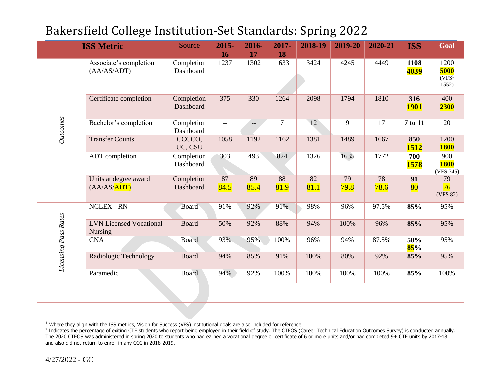| <b>ISS Metric</b>    |                                                  | Source                  | 2015-<br>16              | 2016-<br>17 | 2017-<br>18    | 2018-19    | 2019-20    | 2020-21    | <b>ISS</b>         | Goal                                         |
|----------------------|--------------------------------------------------|-------------------------|--------------------------|-------------|----------------|------------|------------|------------|--------------------|----------------------------------------------|
| Outcomes             | Associate's completion<br>(AA/AS/ADT)            | Completion<br>Dashboard | 1237                     | 1302        | 1633           | 3424       | 4245       | 4449       | 1108<br>4039       | 1200<br>5000<br>(VFS <sup>1</sup> )<br>1552) |
|                      | Certificate completion                           | Completion<br>Dashboard | 375                      | 330         | 1264           | 2098       | 1794       | 1810       | 316<br><b>1901</b> | 400<br><b>2300</b>                           |
|                      | Bachelor's completion                            | Completion<br>Dashboard | $\overline{\phantom{m}}$ | $--$        | $\overline{7}$ | 12         | 9          | 17         | 7 to 11            | 20                                           |
|                      | <b>Transfer Counts</b>                           | CCCCO,<br>UC, CSU       | 1058                     | 1192        | 1162           | 1381       | 1489       | 1667       | 850<br>1512        | 1200<br><b>1800</b>                          |
|                      | ADT completion                                   | Completion<br>Dashboard | 303                      | 493         | 824            | 1326       | 1635       | 1772       | 700<br><b>1578</b> | 900<br><b>1800</b><br>(VFS 745)              |
|                      | Units at degree award<br>(AA/AS/ADT)             | Completion<br>Dashboard | 87<br>84.5               | 89<br>85.4  | 88<br>81.9     | 82<br>81.1 | 79<br>79.8 | 78<br>78.6 | 91<br>80           | 79<br>76<br>(VFS 82)                         |
| Licensing Pass Rates | <b>NCLEX - RN</b>                                | Board                   | 91%                      | 92%         | 91%            | 98%        | 96%        | 97.5%      | 85%                | 95%                                          |
|                      | <b>LVN Licensed Vocational</b><br><b>Nursing</b> | <b>Board</b>            | 50%                      | 92%         | 88%            | 94%        | 100%       | 96%        | 85%                | 95%                                          |
|                      | <b>CNA</b>                                       | <b>Board</b>            | 93%                      | 95%         | 100%           | 96%        | 94%        | 87.5%      | 50%<br>85%         | 95%                                          |
|                      | Radiologic Technology                            | <b>Board</b>            | 94%                      | 85%         | 91%            | 100%       | 80%        | 92%        | 85%                | 95%                                          |
|                      | Paramedic                                        | <b>Board</b>            | 94%                      | 92%         | 100%           | 100%       | 100%       | 100%       | 85%                | 100%                                         |
|                      |                                                  |                         |                          |             |                |            |            |            |                    |                                              |

 $1$  Where they align with the ISS metrics, Vision for Success (VFS) institutional goals are also included for reference.

 $\overline{a}$ 

<sup>&</sup>lt;sup>2</sup> Indicates the percentage of exiting CTE students who report being employed in their field of study. The CTEOS (Career Technical Education Outcomes Survey) is conducted annually. The 2020 CTEOS was administered in spring 2020 to students who had earned a vocational degree or certificate of 6 or more units and/or had completed 9+ CTE units by 2017-18 and also did not return to enroll in any CCC in 2018-2019.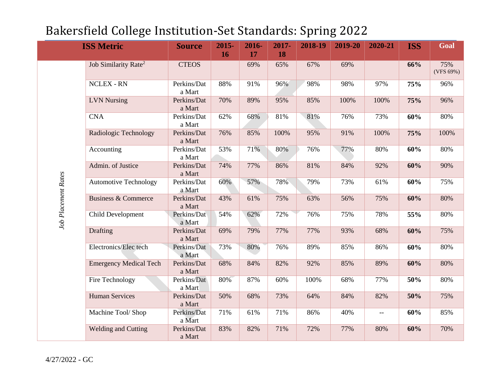| <b>ISS Metric</b>   |                                  | <b>Source</b>         | 2015-<br>16 | 2016-<br>17 | 2017-<br>18 | 2018-19 | 2019-20 | 2020-21 | <b>ISS</b> | Goal             |
|---------------------|----------------------------------|-----------------------|-------------|-------------|-------------|---------|---------|---------|------------|------------------|
| Job Placement Rates | Job Similarity Rate <sup>2</sup> | <b>CTEOS</b>          |             | 69%         | 65%         | 67%     | 69%     |         | 66%        | 75%<br>(VFS 69%) |
|                     | <b>NCLEX - RN</b>                | Perkins/Dat<br>a Mart | 88%         | 91%         | 96%         | 98%     | 98%     | 97%     | 75%        | 96%              |
|                     | <b>LVN</b> Nursing               | Perkins/Dat<br>a Mart | 70%         | 89%         | 95%         | 85%     | 100%    | 100%    | 75%        | 96%              |
|                     | <b>CNA</b>                       | Perkins/Dat<br>a Mart | 62%         | 68%         | $81\%$      | 81%     | 76%     | 73%     | 60%        | 80%              |
|                     | Radiologic Technology            | Perkins/Dat<br>a Mart | 76%         | 85%         | 100%        | 95%     | 91%     | 100%    | 75%        | 100%             |
|                     | Accounting                       | Perkins/Dat<br>a Mart | 53%         | 71%         | 80%         | 76%     | 77%     | 80%     | 60%        | 80%              |
|                     | Admin. of Justice                | Perkins/Dat<br>a Mart | 74%         | 77%         | 86%         | 81%     | 84%     | 92%     | 60%        | 90%              |
|                     | <b>Automotive Technology</b>     | Perkins/Dat<br>a Mart | 60%         | 57%         | 78%         | 79%     | 73%     | 61%     | 60%        | 75%              |
|                     | <b>Business &amp; Commerce</b>   | Perkins/Dat<br>a Mart | 43%         | 61%         | 75%         | 63%     | 56%     | 75%     | 60%        | 80%              |
|                     | Child Development                | Perkins/Dat<br>a Mart | 54%         | 62%         | 72%         | 76%     | 75%     | 78%     | 55%        | $80\%$           |
|                     | Drafting                         | Perkins/Dat<br>a Mart | 69%         | 79%         | 77%         | 77%     | 93%     | 68%     | 60%        | 75%              |
|                     | Electronics/Elec tech            | Perkins/Dat<br>a Mart | 73%         | 80%         | 76%         | 89%     | 85%     | 86%     | 60%        | 80%              |
|                     | <b>Emergency Medical Tech</b>    | Perkins/Dat<br>a Mart | 68%         | 84%         | 82%         | 92%     | 85%     | 89%     | 60%        | 80%              |
|                     | Fire Technology                  | Perkins/Dat<br>a Mart | 80%         | 87%         | 60%         | 100%    | 68%     | 77%     | 50%        | 80%              |
|                     | <b>Human Services</b>            | Perkins/Dat<br>a Mart | 50%         | 68%         | 73%         | 64%     | 84%     | 82%     | 50%        | 75%              |
|                     | Machine Tool/ Shop               | Perkins/Dat<br>a Mart | 71%         | 61%         | 71%         | 86%     | 40%     | $--$    | 60%        | 85%              |
|                     | <b>Welding and Cutting</b>       | Perkins/Dat<br>a Mart | 83%         | 82%         | 71%         | 72%     | 77%     | 80%     | 60%        | 70%              |